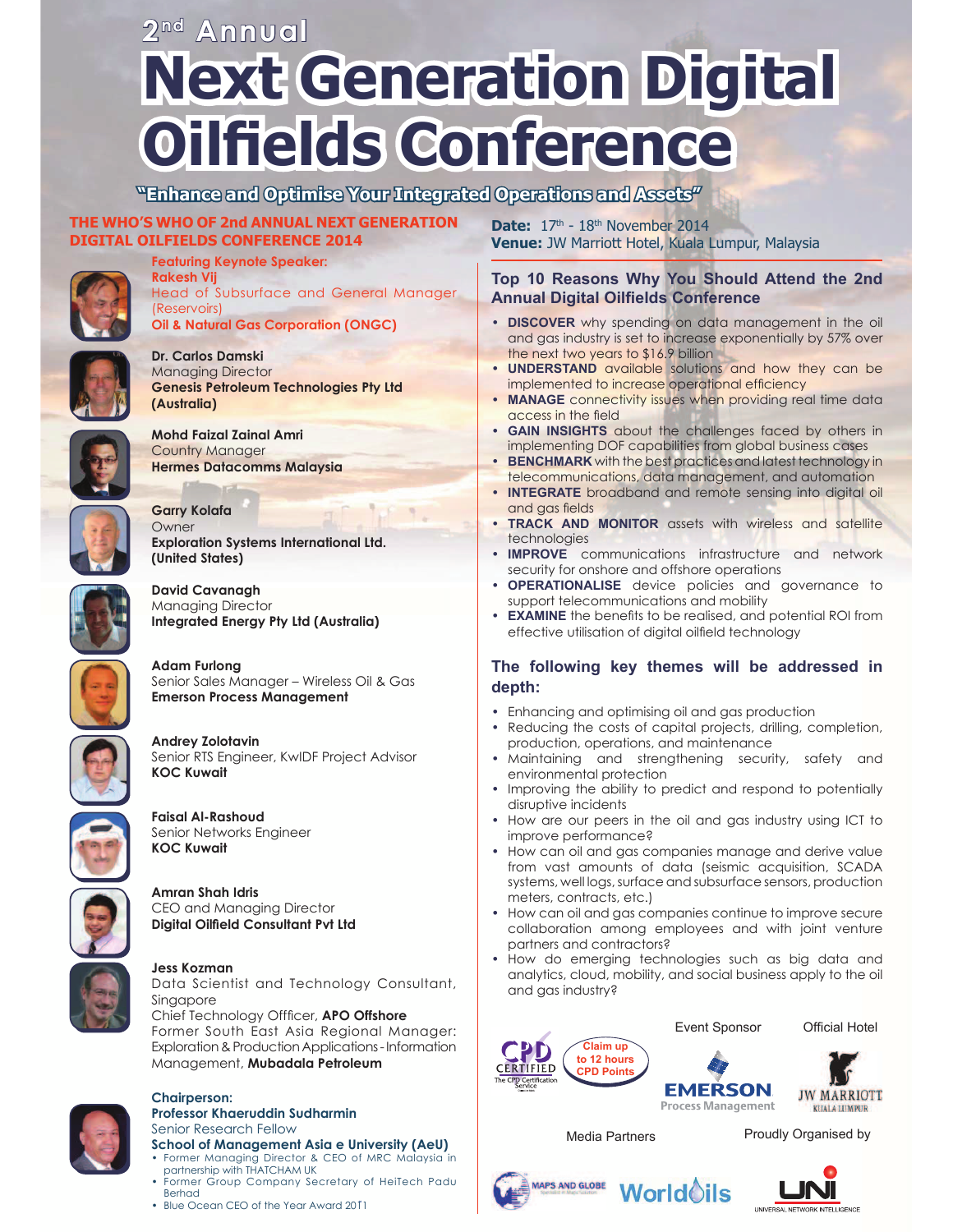# **Next Generation Digital Oilfields Conference 2 nd Annual**

**"Enhance and Optimise Your Integrated Operations and Assets"**

### **THE WHO'S WHO OF 2nd ANNUAL NEXT GENERATION DIGITAL OILFIELDS CONFERENCE 2014**

**Featuring Keynote Speaker:**



**Rakesh Vij** Head of Subsurface and General Manager (Reservoirs) **Oil & Natural Gas Corporation (ONGC)**



**Dr. Carlos Damski** Managing Director **Genesis Petroleum Technologies Pty Ltd (Australia)**



**Mohd Faizal Zainal Amri** Country Manager **Hermes Datacomms Malaysia**



**Garry Kolafa Owner Exploration Systems International Ltd. (United States)**



**David Cavanagh** Managing Director **Integrated Energy Pty Ltd (Australia)**



**Adam Furlong** Senior Sales Manager – Wireless Oil & Gas **Emerson Process Management**



**Andrey Zolotavin** Senior RTS Engineer, KwIDF Project Advisor **KOC Kuwait**



**Faisal Al-Rashoud** Senior Networks Engineer **KOC Kuwait**



**Amran Shah Idris** CEO and Managing Director **Digital Oilfield Consultant Pvt Ltd** 



### **Jess Kozman**

Data Scientist and Technology Consultant, Singapore Chief Technology Offficer, APO Offshore

Former South East Asia Regional Manager: Exploration & Production Applications - Information Management, **Mubadala Petroleum**



#### **Chairperson: Professor Khaeruddin Sudharmin** Senior Research Fellow

### **School of Management Asia e University (AeU)** • Former Managing Director & CEO of MRC Malaysia in

- partnership with THATCHAM UK Former Group Company Secretary of HeiTech Padu Berhad
- Blue Ocean CEO of the Year Award 2011

**Date:** 17<sup>th</sup> - 18<sup>th</sup> November 2014 **Venue:** JW Marriott Hotel, Kuala Lumpur, Malaysia

### **Top 10 Reasons Why You Should Attend the 2nd Annual Digital Oilfields Conference**

- **DISCOVER** why spending on data management in the oil and gas industry is set to increase exponentially by 57% over the next two years to \$16.9 billion
- **UNDERSTAND** available solutions and how they can be implemented to increase operational efficiency
- **MANAGE** connectivity issues when providing real time data access in the field
- **GAIN INSIGHTS** about the challenges faced by others in implementing DOF capabilities from global business cases
- **BENCHMARK** with the best practices and latest technology in telecommunications, data management, and automation
- **INTEGRATE** broadband and remote sensing into digital oil and gas fields
- **TRACK AND MONITOR** assets with wireless and satellite technologies
- **IMPROVE** communications infrastructure and network security for onshore and offshore operations
- **OPERATIONALISE** device policies and governance to support telecommunications and mobility
- **EXAMINE** the benefits to be realised, and potential ROI from effective utilisation of digital oilfield technology

### **The following key themes will be addressed in depth:**

- Enhancing and optimising oil and gas production
- Reducing the costs of capital projects, drilling, completion, production, operations, and maintenance
- Maintaining and strengthening security, safety and environmental protection
- Improving the ability to predict and respond to potentially disruptive incidents
- How are our peers in the oil and gas industry using ICT to improve performance?
- How can oil and gas companies manage and derive value from vast amounts of data (seismic acquisition, SCADA systems, well logs, surface and subsurface sensors, production meters, contracts, etc.)
- How can oil and gas companies continue to improve secure collaboration among employees and with joint venture partners and contractors?
- How do emerging technologies such as big data and analytics, cloud, mobility, and social business apply to the oil and gas industry?

**World**oils





**Official Hotel** 

Media Partners

Proudly Organised by



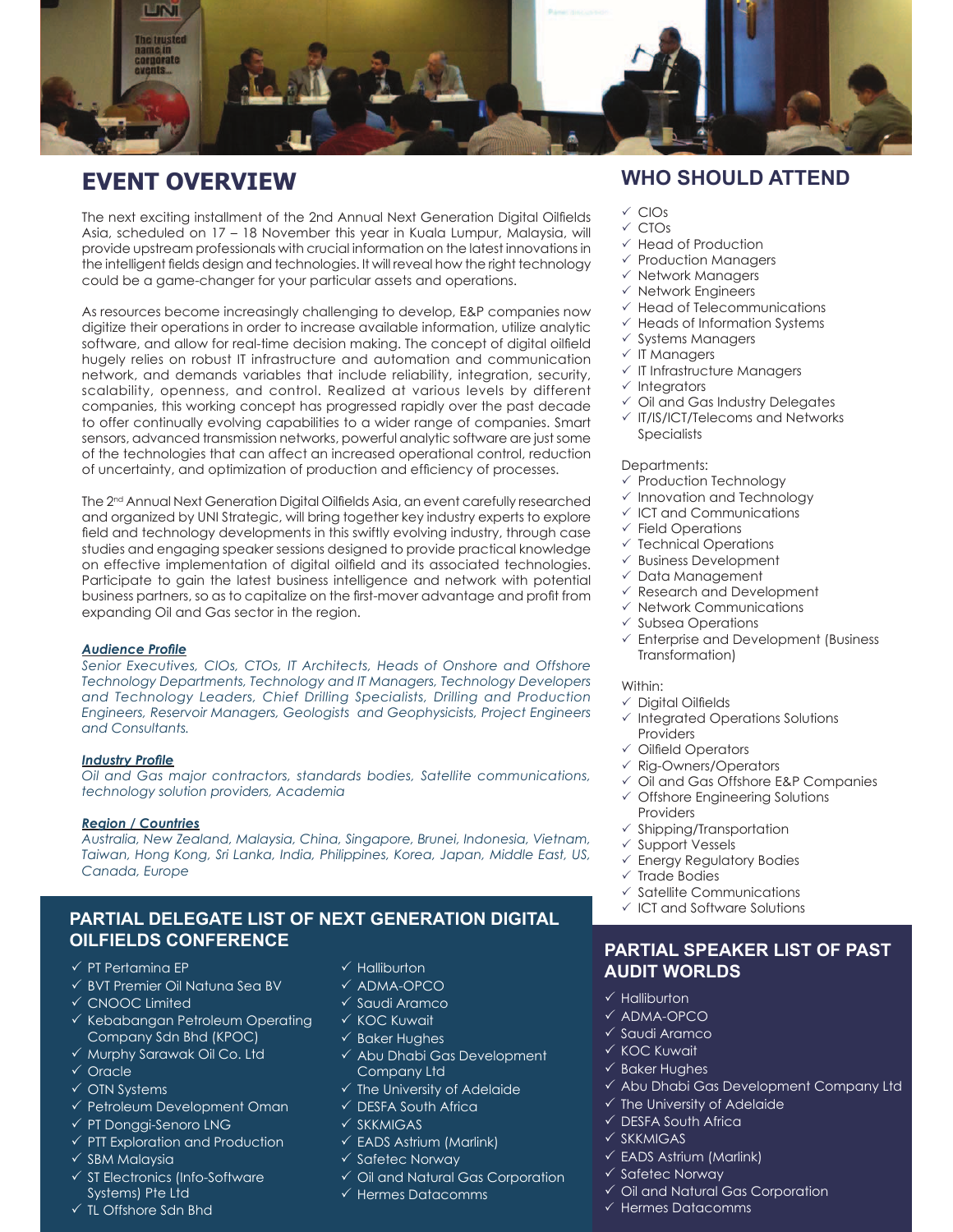

# **EVENT OVERVIEW**

The next exciting installment of the 2nd Annual Next Generation Digital Oilfields Asia, scheduled on 17 – 18 November this year in Kuala Lumpur, Malaysia, will provide upstream professionals with crucial information on the latest innovations in the intelligent fields design and technologies. It will reveal how the right technology could be a game-changer for your particular assets and operations.

As resources become increasingly challenging to develop, E&P companies now digitize their operations in order to increase available information, utilize analytic software, and allow for real-time decision making. The concept of digital oilfield hugely relies on robust IT infrastructure and automation and communication network, and demands variables that include reliability, integration, security, scalability, openness, and control. Realized at various levels by different companies, this working concept has progressed rapidly over the past decade to offer continually evolving capabilities to a wider range of companies. Smart sensors, advanced transmission networks, powerful analytic software are just some of the technologies that can affect an increased operational control, reduction of uncertainty, and optimization of production and efficiency of processes.

The 2<sup>nd</sup> Annual Next Generation Digital Oilfields Asia, an event carefully researched and organized by UNI Strategic, will bring together key industry experts to explore field and technology developments in this swiftly evolving industry, through case studies and engaging speaker sessions designed to provide practical knowledge on effective implementation of digital oilfield and its associated technologies. Participate to gain the latest business intelligence and network with potential business partners, so as to capitalize on the first-mover advantage and profit from expanding Oil and Gas sector in the region.

### **Audience Profile**

*Senior Executives, CIOs, CTOs, IT Architects, Heads of Onshore and Offshore Technology Departments, Technology and IT Managers, Technology Developers and Technology Leaders, Chief Drilling Specialists, Drilling and Production Engineers, Reservoir Managers, Geologists and Geophysicists, Project Engineers and Consultants.*

### **Industry Profile**

*Oil and Gas major contractors, standards bodies, Satellite communications, technology solution providers, Academia*

### *Region / Countries*

*Australia, New Zealand, Malaysia, China, Singapore, Brunei, Indonesia, Vietnam, Taiwan, Hong Kong, Sri Lanka, India, Philippines, Korea, Japan, Middle East, US, Canada, Europe*

### **PARTIAL DELEGATE LIST OF NEXT GENERATION DIGITAL OILFIELDS CONFERENCE**

- $\checkmark$  PT Pertamina EP
- $\checkmark$  BVT Premier Oil Natuna Sea BV
- $\checkmark$  CNOOC Limited
- $\checkmark$  Kebabangan Petroleum Operating Company Sdn Bhd (KPOC)
- $\checkmark$  Murphy Sarawak Oil Co. Ltd
- $\checkmark$  Oracle
- $\checkmark$  OTN Systems
- $\checkmark$  Petroleum Development Oman
- $\checkmark$  PT Donggi-Senoro LNG
- $\checkmark$  PTT Exploration and Production
- $\times$  SBM Malaysia
- $\checkmark$  ST Electronics (Info-Software Systems) Pte Ltd
- $\checkmark$  TL Offshore Sdn Bhd
- $\checkmark$  Halliburton
- $\checkmark$  ADMA-OPCO
- $\checkmark$  Saudi Aramco
- $\times$  KOC Kuwait
- $\checkmark$  Baker Hughes
- $\checkmark$  Abu Dhabi Gas Development Company Ltd
- $\checkmark$  The University of Adelaide
- $\checkmark$  DESFA South Africa
- $\times$  SKKMIGAS
- $\checkmark$  EADS Astrium (Marlink)
- $\checkmark$  Safetec Norway
- $\checkmark$  Oil and Natural Gas Corporation
- $\checkmark$  Hermes Datacomms

### **WHO SHOULD ATTEND**

- $\times$  CIOs
- $\sqrt{C}$ CTOs
- $\sqrt{ }$  Head of Production
- $\checkmark$  Production Managers
- $\checkmark$  Network Managers
- $\checkmark$  Network Engineers
- $\checkmark$  Head of Telecommunications
- $\checkmark$  Heads of Information Systems
- $\checkmark$  Systems Managers
- $\checkmark$  IT Managers
- $\checkmark$  IT Infrastructure Managers
- $\checkmark$  Integrators
- $\checkmark$  Oil and Gas Industry Delegates
- $\sqrt{11/1}$ S/ICT/Telecoms and Networks **Specialists**

### Departments:

- $\checkmark$  Production Technology
- $\checkmark$  Innovation and Technology
- $\checkmark$  ICT and Communications
- $\checkmark$  Field Operations
- $\checkmark$  Technical Operations
- $\checkmark$  Business Development
- $\checkmark$  Data Management
- $\checkmark$  Research and Development
- $\checkmark$  Network Communications
- $\checkmark$  Subsea Operations
- $\checkmark$  Enterprise and Development (Business Transformation)

### Within:

- $\checkmark$  Digital Oilfields
- $\checkmark$  Integrated Operations Solutions Providers
- $\checkmark$  Oilfield Operators
- $\checkmark$  Rig-Owners/Operators
- $\checkmark$  Oil and Gas Offshore E&P Companies
- $\checkmark$  Offshore Engineering Solutions Providers
- $\checkmark$  Shipping/Transportation
- $\checkmark$  Support Vessels
- $\checkmark$  Energy Regulatory Bodies
- $\times$  Trade Bodies
- $\checkmark$  Satellite Communications
- $\checkmark$  ICT and Software Solutions

### **PARTIAL SPEAKER LIST OF PAST AUDIT WORLDS**

- $\checkmark$  Halliburton
- $\times$  ADMA-OPCO
- $\checkmark$  Saudi Aramco
- $\times$  KOC Kuwait
- $\checkmark$  Baker Hughes
- $\checkmark$  Abu Dhabi Gas Development Company Ltd
- $\checkmark$  The University of Adelaide
- $\checkmark$  DESFA South Africa
- $\overline{\sqrt{\text{SKKMIGAS}}}$
- $\checkmark$  EADS Astrium (Marlink)
- $\checkmark$  Safetec Norway
- 
- $\checkmark$  Oil and Natural Gas Corporation
- $\checkmark$  Hermes Datacomms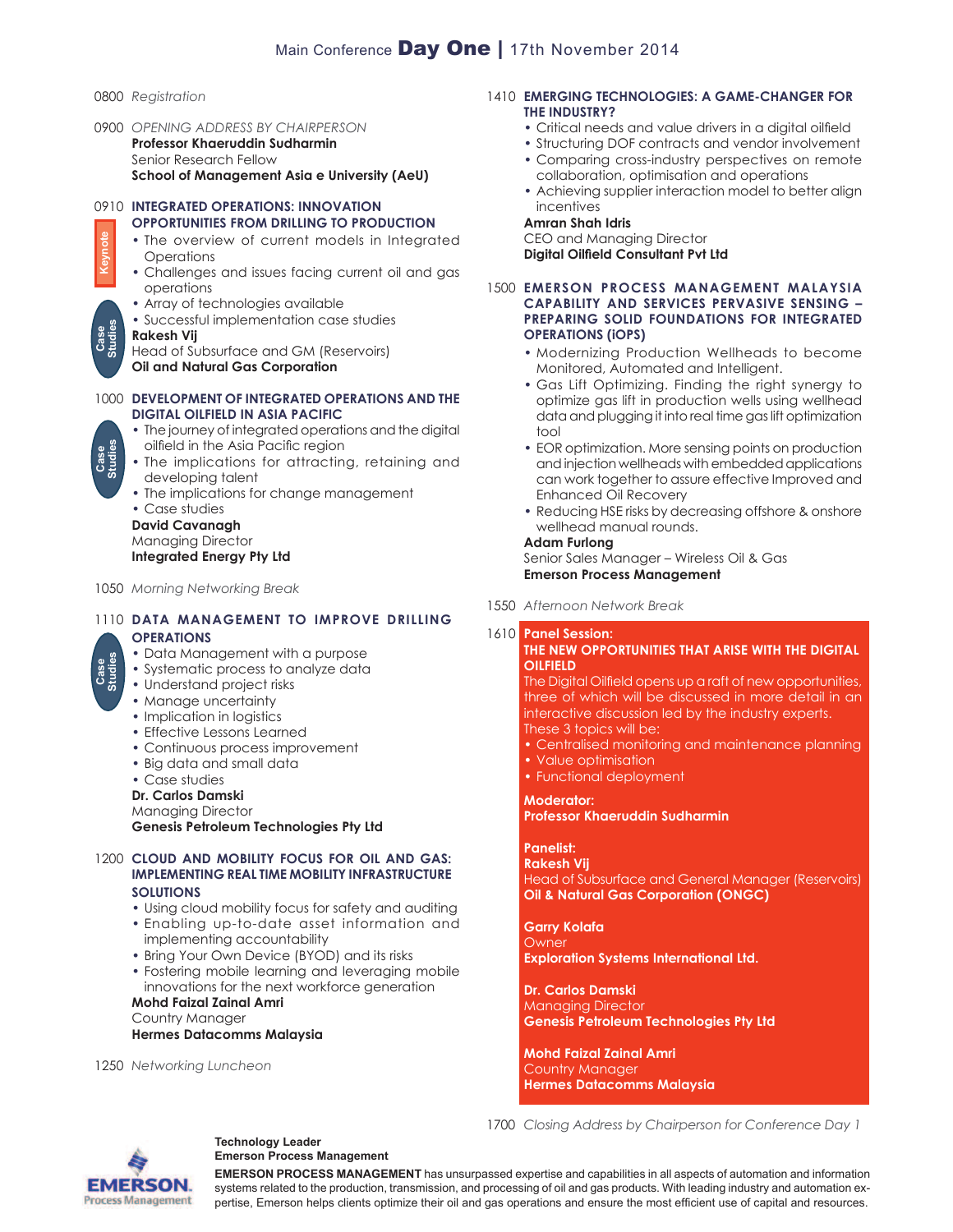- 0800 *Registration*
- 0900 *OPENING ADDRESS BY CHAIRPERSON* **Professor Khaeruddin Sudharmin** Senior Research Fellow **School of Management Asia e University (AeU)**

# 0910 **INTEGRATED OPERATIONS: INNOVATION OPPORTUNITIES FROM DRILLING TO PRODUCTION Keynote**

- The overview of current models in Integrated **Operations**
- Challenges and issues facing current oil and gas operations
- Array of technologies available
- Successful implementation case studies

### **Rakesh Vij**

Head of Subsurface and GM (Reservoirs)

**Oil and Natural Gas Corporation**

- **A NEW MAP FOR A NEW AGE: E-LEARNING & SOCIAL**  1000 **DEVELOPMENT OF INTEGRATED OPERATIONS AND THE DIGITAL OILFIELD IN ASIA PACIFIC**
	- The journey of integrated operations and the digital oilfield in the Asia Pacific region
	- The implications for attracting, retaining and developing talent
	- The implications for change management

• Case studies **David Cavanagh** Managing Director

**Integrated Energy Pty Ltd**

1050 *Morning Networking Break*

### 1110 **DATA MANAGEMENT TO IMPROVE DRILLING OPERATIONS**

- Data Management with a purpose
- Systematic process to analyze data
- Understand project risks
- Manage uncertainty
- Implication in logistics
- Effective Lessons Learned
- Continuous process improvement
- Big data and small data
- Case studies

**Dr. Carlos Damski**

Managing Director

**Genesis Petroleum Technologies Pty Ltd**

### 1200 **CLOUD AND MOBILITY FOCUS FOR OIL AND GAS: IMPLEMENTING REAL TIME MOBILITY INFRASTRUCTURE SOLUTIONS**

- Using cloud mobility focus for safety and auditing
- Enabling up-to-date asset information and implementing accountability
- Bring Your Own Device (BYOD) and its risks
- Fostering mobile learning and leveraging mobile innovations for the next workforce generation

### **Mohd Faizal Zainal Amri** Country Manager **Hermes Datacomms Malaysia**

1250 *Networking Luncheon*

### 1410 **EMERGING TECHNOLOGIES: A GAME-CHANGER FOR THE INDUSTRY?**

- Critical needs and value drivers in a digital oilfield
- Structuring DOF contracts and vendor involvement
- Comparing cross-industry perspectives on remote collaboration, optimisation and operations
- Achieving supplier interaction model to better align incentives

### **Amran Shah Idris**

CEO and Managing Director **Digital Oilfield Consultant Pvt Ltd** 

- 1500 **EMERSON PROCESS MANAGEMENT MALAYSIA CAPABILITY AND SERVICES PERVASIVE SENSING – PREPARING SOLID FOUNDATIONS FOR INTEGRATED OPERATIONS (iOPS)**
	- Modernizing Production Wellheads to become Monitored, Automated and Intelligent.
	- Gas Lift Optimizing. Finding the right synergy to optimize gas lift in production wells using wellhead data and plugging it into real time gas lift optimization tool
	- EOR optimization. More sensing points on production and injection wellheads with embedded applications can work together to assure effective Improved and Enhanced Oil Recovery
	- Reducing HSE risks by decreasing offshore & onshore wellhead manual rounds.

### **Adam Furlong**

Senior Sales Manager – Wireless Oil & Gas **Emerson Process Management**

1550 *Afternoon Network Break*

#### 1610 **Panel Session: THE NEW OPPORTUNITIES THAT ARISE WITH THE DIGITAL OILFIELD**

The Digital Oilfield opens up a raft of new opportunities, three of which will be discussed in more detail in an interactive discussion led by the industry experts. These 3 topics will be:

- Centralised monitoring and maintenance planning
- Value optimisation
- Functional deployment

### **Moderator:**

**Professor Khaeruddin Sudharmin**

#### **Panelist: Rakesh Vij**

Head of Subsurface and General Manager (Reservoirs) **Oil & Natural Gas Corporation (ONGC)**

**Garry Kolafa Owner Exploration Systems International Ltd.**

**Dr. Carlos Damski** Managing Director **Genesis Petroleum Technologies Pty Ltd**

1700 *Closing Address by Chairperson for Conference Day 1*

**Mohd Faizal Zainal Amri** Country Manager **Hermes Datacomms Malaysia**



### **Technology Leader Emerson Process Management**

**EMERSON PROCESS MANAGEMENT** has unsurpassed expertise and capabilities in all aspects of automation and information systems related to the production, transmission, and processing of oil and gas products. With leading industry and automation expertise, Emerson helps clients optimize their oil and gas operations and ensure the most efficient use of capital and resources.



**Case Studies**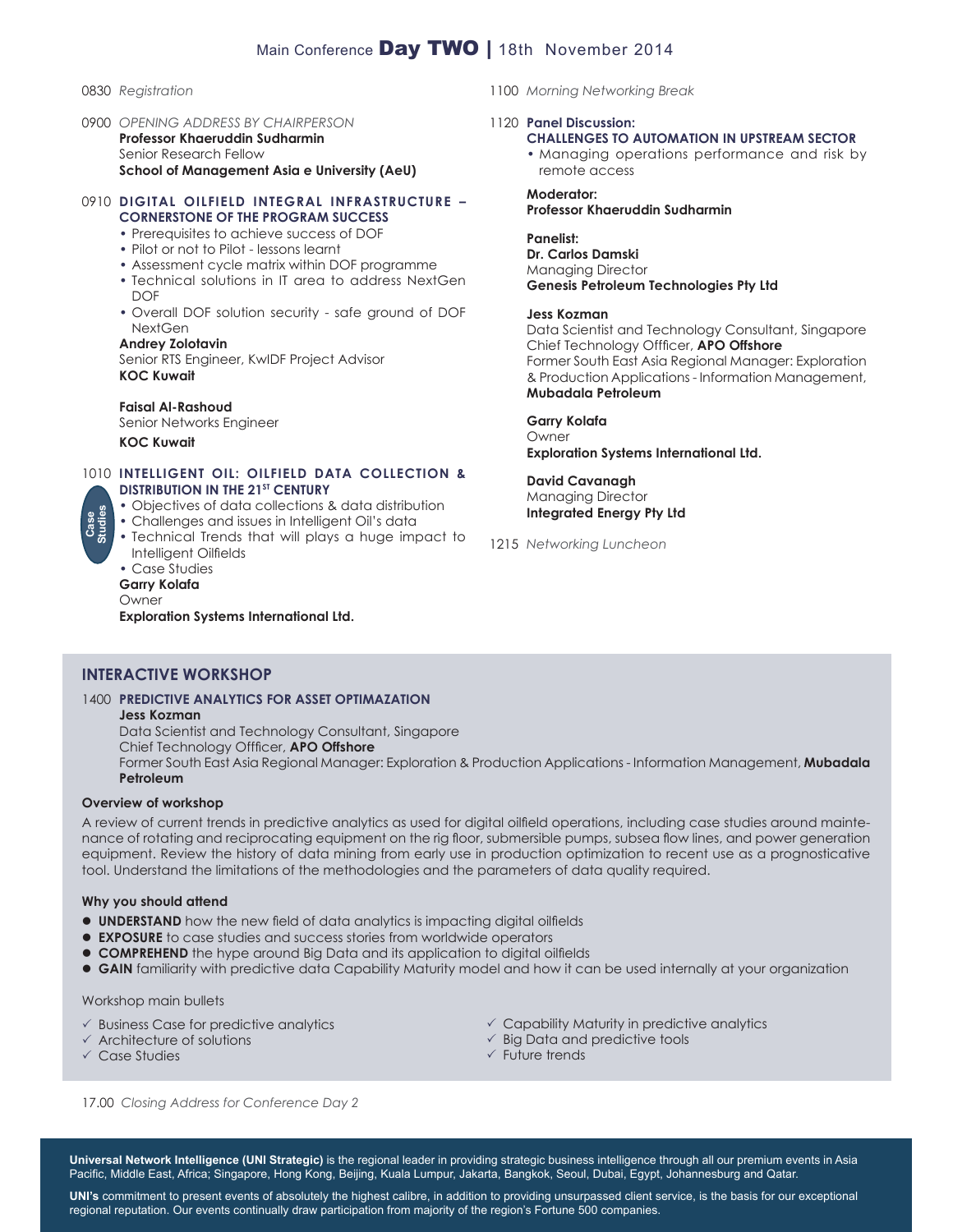### Main Conference Day TWO | 18th November 2014

### 0830 *Registration*

0900 *OPENING ADDRESS BY CHAIRPERSON* **Professor Khaeruddin Sudharmin** Senior Research Fellow **School of Management Asia e University (AeU)**

### 0910 **DIGITAL OILFIELD INTEGRAL INFRASTRUCTURE – CORNERSTONE OF THE PROGRAM SUCCESS**

- Prerequisites to achieve success of DOF
- Pilot or not to Pilot lessons learnt
- Assessment cycle matrix within DOF programme
- Technical solutions in IT area to address NextGen **DOF**
- Overall DOF solution security safe ground of DOF **NextGen**

### **Andrey Zolotavin**

Senior RTS Engineer, KwIDF Project Advisor **KOC Kuwait**

### **Faisal Al-Rashoud**

Senior Networks Engineer **KOC Kuwait**

### 1010 **INTELLIGENT OIL: OILFIELD DATA COLLECTION & DISTRIBUTION IN THE 21<sup>ST</sup> CENTURY**

- Objectives of data collections & data distribution
- Challenges and issues in Intelligent Oil's data
- Technical Trends that will plays a huge impact to Intelligent Oilfields

### • Case Studies

### **Garry Kolafa**

Owner **Exploration Systems International Ltd.**

### 1100 *Morning Networking Break*

### 1120 **Panel Discussion:**

### **CHALLENGES TO AUTOMATION IN UPSTREAM SECTOR**

• Managing operations performance and risk by remote access

#### **Moderator: Professor Khaeruddin Sudharmin**

### **Panelist:**

**Dr. Carlos Damski** Managing Director **Genesis Petroleum Technologies Pty Ltd**

### **Jess Kozman**

Data Scientist and Technology Consultant, Singapore Chief Technology Offficer, **APO Offshore** Former South East Asia Regional Manager: Exploration & Production Applications - Information Management, **Mubadala Petroleum**

### **Garry Kolafa**

Owner **Exploration Systems International Ltd.**

**David Cavanagh** Managing Director **Integrated Energy Pty Ltd**

### 1215 *Networking Luncheon*

### **INTERACTIVE WORKSHOP**

#### 1400 **PREDICTIVE ANALYTICS FOR ASSET OPTIMAZATION Jess Kozman**

Data Scientist and Technology Consultant, Singapore Chief Technology Offficer, **APO Offshore** Former South East Asia Regional Manager: Exploration & Production Applications - Information Management, **Mubadala Petroleum**

### **Overview of workshop**

A review of current trends in predictive analytics as used for digital oilfield operations, including case studies around maintenance of rotating and reciprocating equipment on the rig floor, submersible pumps, subsea flow lines, and power generation equipment. Review the history of data mining from early use in production optimization to recent use as a prognosticative tool. Understand the limitations of the methodologies and the parameters of data quality required.

### **Why you should attend**

- **UNDERSTAND** how the new field of data analytics is impacting digital oilfields
- **EXPOSURE** to case studies and success stories from worldwide operators
- **COMPREHEND** the hype around Big Data and its application to digital oilfields
- **GAIN** familiarity with predictive data Capability Maturity model and how it can be used internally at your organization

Workshop main bullets

- $\checkmark$  Business Case for predictive analytics
- $\checkmark$  Architecture of solutions
- $\sqrt{}$  Case Studies
- $\checkmark$  Capability Maturity in predictive analytics
- $\checkmark$  Big Data and predictive tools
- $\checkmark$  Future trends

17.00 *Closing Address for Conference Day 2*

**Universal Network Intelligence (UNI Strategic)** is the regional leader in providing strategic business intelligence through all our premium events in Asia Pacific, Middle East, Africa; Singapore, Hong Kong, Beijing, Kuala Lumpur, Jakarta, Bangkok, Seoul, Dubai, Egypt, Johannesburg and Qatar.

UNI's commitment to present events of absolutely the highest calibre, in addition to providing unsurpassed client service, is the basis for our exceptional regional reputation. Our events continually draw participation from majority of the region's Fortune 500 companies.

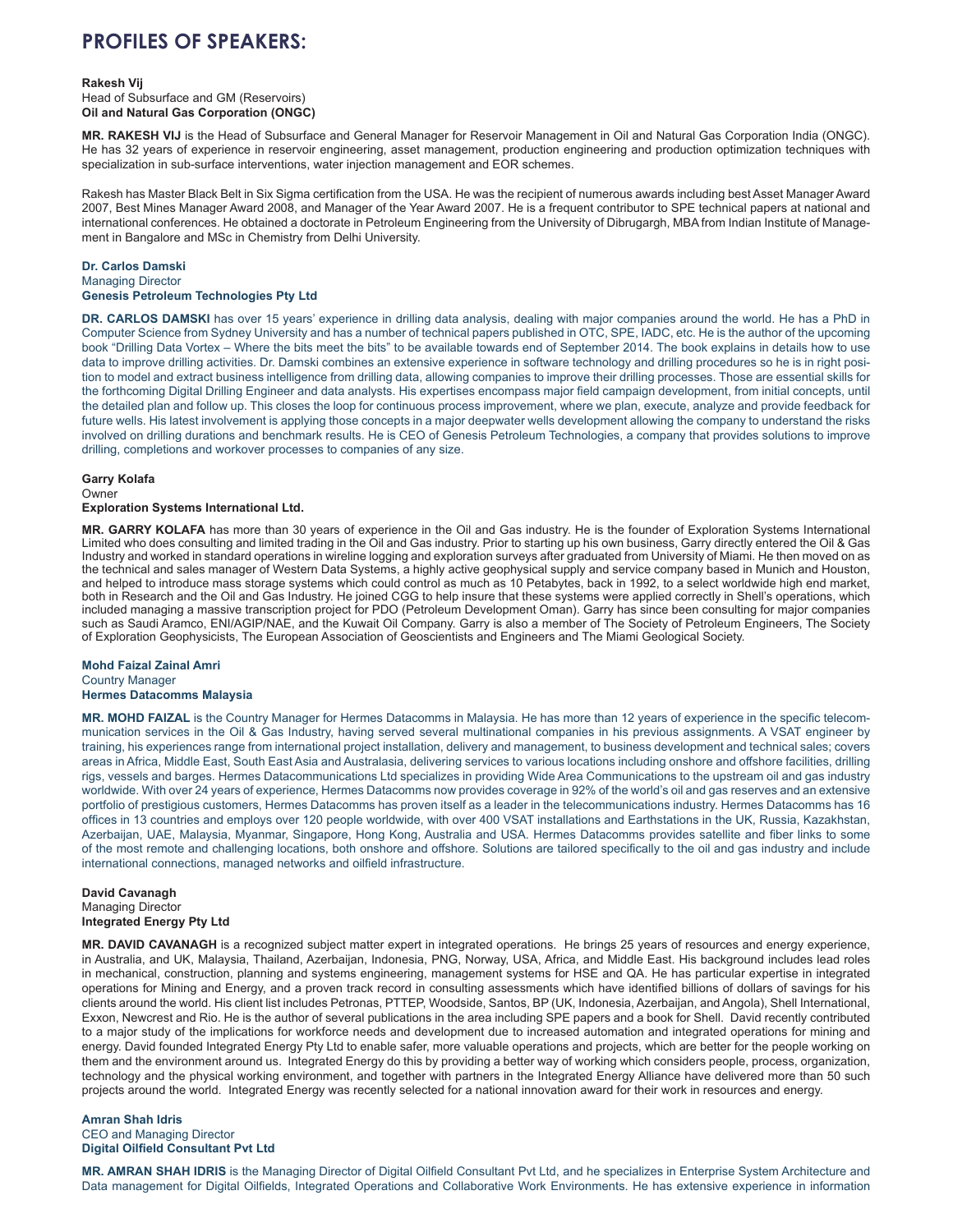# **PROFILES OF SPEAKERS:**

#### **Rakesh Vij**

Head of Subsurface and GM (Reservoirs) **Oil and Natural Gas Corporation (ONGC)**

**MR. RAKESH VIJ** is the Head of Subsurface and General Manager for Reservoir Management in Oil and Natural Gas Corporation India (ONGC). He has 32 years of experience in reservoir engineering, asset management, production engineering and production optimization techniques with specialization in sub-surface interventions, water injection management and EOR schemes.

Rakesh has Master Black Belt in Six Sigma certification from the USA. He was the recipient of numerous awards including best Asset Manager Award 2007, Best Mines Manager Award 2008, and Manager of the Year Award 2007. He is a frequent contributor to SPE technical papers at national and international conferences. He obtained a doctorate in Petroleum Engineering from the University of Dibrugargh, MBA from Indian Institute of Management in Bangalore and MSc in Chemistry from Delhi University.

#### **Dr. Carlos Damski** Managing Director

### **Genesis Petroleum Technologies Pty Ltd**

**DR. CARLOS DAMSKI** has over 15 years' experience in drilling data analysis, dealing with major companies around the world. He has a PhD in Computer Science from Sydney University and has a number of technical papers published in OTC, SPE, IADC, etc. He is the author of the upcoming book "Drilling Data Vortex – Where the bits meet the bits" to be available towards end of September 2014. The book explains in details how to use data to improve drilling activities. Dr. Damski combines an extensive experience in software technology and drilling procedures so he is in right position to model and extract business intelligence from drilling data, allowing companies to improve their drilling processes. Those are essential skills for the forthcoming Digital Drilling Engineer and data analysts. His expertises encompass major field campaign development, from initial concepts, until the detailed plan and follow up. This closes the loop for continuous process improvement, where we plan, execute, analyze and provide feedback for future wells. His latest involvement is applying those concepts in a major deepwater wells development allowing the company to understand the risks involved on drilling durations and benchmark results. He is CEO of Genesis Petroleum Technologies, a company that provides solutions to improve drilling, completions and workover processes to companies of any size.

#### **Garry Kolafa**

#### Owner **Exploration Systems International Ltd.**

**MR. GARRY KOLAFA** has more than 30 years of experience in the Oil and Gas industry. He is the founder of Exploration Systems International Limited who does consulting and limited trading in the Oil and Gas industry. Prior to starting up his own business, Garry directly entered the Oil & Gas Industry and worked in standard operations in wireline logging and exploration surveys after graduated from University of Miami. He then moved on as the technical and sales manager of Western Data Systems, a highly active geophysical supply and service company based in Munich and Houston, and helped to introduce mass storage systems which could control as much as 10 Petabytes, back in 1992, to a select worldwide high end market, both in Research and the Oil and Gas Industry. He joined CGG to help insure that these systems were applied correctly in Shell's operations, which included managing a massive transcription project for PDO (Petroleum Development Oman). Garry has since been consulting for major companies such as Saudi Aramco, ENI/AGIP/NAE, and the Kuwait Oil Company. Garry is also a member of The Society of Petroleum Engineers, The Society of Exploration Geophysicists, The European Association of Geoscientists and Engineers and The Miami Geological Society.

#### **Mohd Faizal Zainal Amri** Country Manager **Hermes Datacomms Malaysia**

MR. MOHD FAIZAL is the Country Manager for Hermes Datacomms in Malaysia. He has more than 12 years of experience in the specific telecommunication services in the Oil & Gas Industry, having served several multinational companies in his previous assignments. A VSAT engineer by training, his experiences range from international project installation, delivery and management, to business development and technical sales; covers areas in Africa, Middle East, South East Asia and Australasia, delivering services to various locations including onshore and offshore facilities, drilling rigs, vessels and barges. Hermes Datacommunications Ltd specializes in providing Wide Area Communications to the upstream oil and gas industry worldwide. With over 24 years of experience, Hermes Datacomms now provides coverage in 92% of the world's oil and gas reserves and an extensive portfolio of prestigious customers, Hermes Datacomms has proven itself as a leader in the telecommunications industry. Hermes Datacomms has 16 offices in 13 countries and employs over 120 people worldwide, with over 400 VSAT installations and Earthstations in the UK, Russia, Kazakhstan, Azerbaijan, UAE, Malaysia, Myanmar, Singapore, Hong Kong, Australia and USA. Hermes Datacomms provides satellite and fiber links to some of the most remote and challenging locations, both onshore and offshore. Solutions are tailored specifically to the oil and gas industry and include international connections, managed networks and oilfield infrastructure.

### **David Cavanagh**

Managing Director **Integrated Energy Pty Ltd**

**MR. DAVID CAVANAGH** is a recognized subject matter expert in integrated operations. He brings 25 years of resources and energy experience, in Australia, and UK, Malaysia, Thailand, Azerbaijan, Indonesia, PNG, Norway, USA, Africa, and Middle East. His background includes lead roles in mechanical, construction, planning and systems engineering, management systems for HSE and QA. He has particular expertise in integrated operations for Mining and Energy, and a proven track record in consulting assessments which have identified billions of dollars of savings for his clients around the world. His client list includes Petronas, PTTEP, Woodside, Santos, BP (UK, Indonesia, Azerbaijan, and Angola), Shell International, Exxon, Newcrest and Rio. He is the author of several publications in the area including SPE papers and a book for Shell. David recently contributed to a major study of the implications for workforce needs and development due to increased automation and integrated operations for mining and energy. David founded Integrated Energy Pty Ltd to enable safer, more valuable operations and projects, which are better for the people working on them and the environment around us. Integrated Energy do this by providing a better way of working which considers people, process, organization, technology and the physical working environment, and together with partners in the Integrated Energy Alliance have delivered more than 50 such projects around the world. Integrated Energy was recently selected for a national innovation award for their work in resources and energy.

### **Amran Shah Idris** CEO and Managing Director **Digital Oilfield Consultant Pvt Ltd**

MR. AMRAN SHAH IDRIS is the Managing Director of Digital Oilfield Consultant Pvt Ltd, and he specializes in Enterprise System Architecture and Data management for Digital Oilfields, Integrated Operations and Collaborative Work Environments. He has extensive experience in information